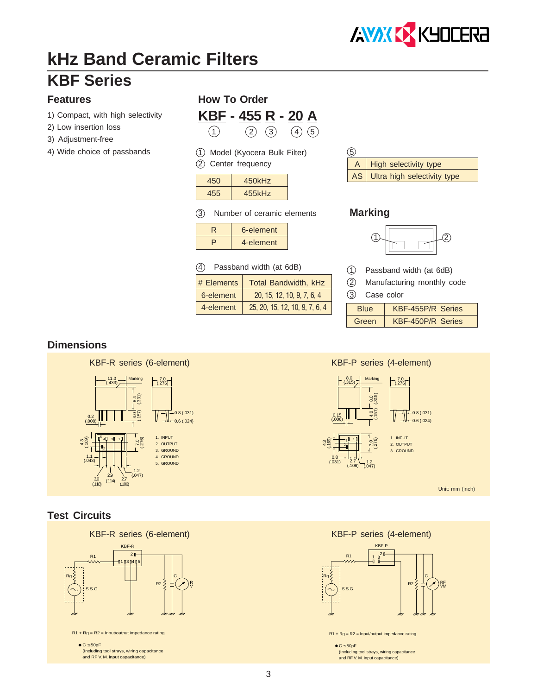

## **kHz Band Ceramic Filters KBF Series**

## **Features**

- 1) Compact, with high selectivity
- 2) Low insertion loss
- 3) Adjustment-free
- 4) Wide choice of passbands

**How To Order KBF - 455 R - 20 A**  $(1)$   $(2)$   $(3)$   $(4)$   $(5)$ 

1 Model (Kyocera Bulk Filter) (2) Center frequency

| 450 | 450kHz |
|-----|--------|
| 455 | 455kHz |

3 Number of ceramic elements

| 6-element |
|-----------|
| 4-element |

(4) Passband width (at 6dB)

| # Elements | <b>Total Bandwidth, kHz</b>    |
|------------|--------------------------------|
| 6-element  | 20, 15, 12, 10, 9, 7, 6, 4     |
| 4-element  | 25, 20, 15, 12, 10, 9, 7, 6, 4 |



### **Marking**



- 1 Passband width (at 6dB)
- 2 Manufacturing monthly code
- 3 Case color

|       | KBF-455P/R Series |
|-------|-------------------|
| Green | KBF-450P/R Series |

## **Dimensions**



## **Test Circuits**







Unit: mm (inch)



R1 + Rg = R2 = Input/output impedance rating

 $\bullet$  C  $\leq$  50pF (Including tool strays, wiring capacitance and RF V. M. input capacitance)